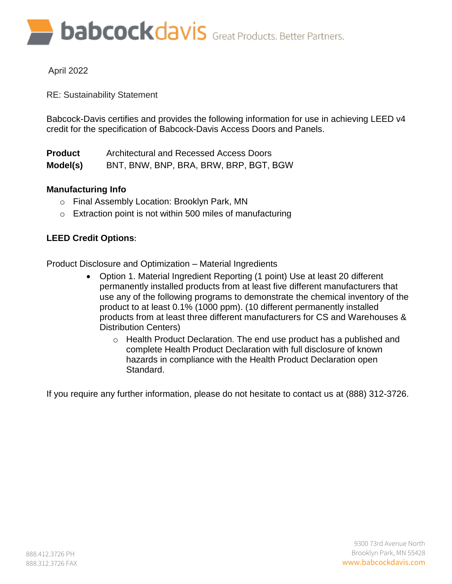**babcockdavis** Great Products. Better Partners.

# April 2022

RE: Sustainability Statement

Babcock-Davis certifies and provides the following information for use in achieving LEED v4 credit for the specification of Babcock-Davis Access Doors and Panels.

| <b>Product</b> | Architectural and Recessed Access Doors |
|----------------|-----------------------------------------|
| Model(s)       | BNT, BNW, BNP, BRA, BRW, BRP, BGT, BGW  |

# **Manufacturing Info**

- o Final Assembly Location: Brooklyn Park, MN
- $\circ$  Extraction point is not within 500 miles of manufacturing

# **LEED Credit Options**:

Product Disclosure and Optimization – Material Ingredients

- Option 1. Material Ingredient Reporting (1 point) Use at least 20 different permanently installed products from at least five different manufacturers that use any of the following programs to demonstrate the chemical inventory of the product to at least 0.1% (1000 ppm). (10 different permanently installed products from at least three different manufacturers for CS and Warehouses & Distribution Centers)
	- o Health Product Declaration. The end use product has a published and complete Health Product Declaration with full disclosure of known hazards in compliance with the Health Product Declaration open Standard.

If you require any further information, please do not hesitate to contact us at (888) 312-3726.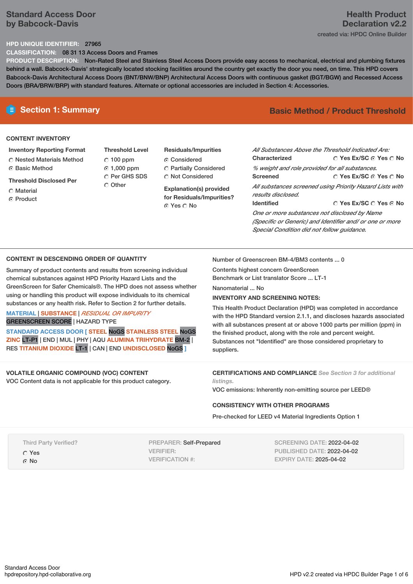# **Standard Access Door by Babcock-Davis**

# **Health Product Declaration v2.2** created via: HPDC Online Builder

## **HPD UNIQUE IDENTIFIER:** 27965

**CLASSIFICATION:** 08 31 13 Access Doors and Frames

**PRODUCT DESCRIPTION:** Non-Rated Steel and Stainless Steel Access Doors provide easy access to mechanical, electrical and plumbing fixtures behind a wall. Babcock-Davis' strategically located stocking facilities around the country get exactly the door you need, on time. This HPD covers Babcock-Davis Architectural Access Doors (BNT/BNW/BNP) Architectural Access Doors with continuous gasket (BGT/BGW) and Recessed Access Doors (BRA/BRW/BRP) with standard features. Alternate or optional accessories are included in Section 4: Accessories.

### **CONTENT INVENTORY**

**Inventory Reporting Format** Nested Materials Method **C** Basic Method

**Threshold Disclosed Per**

**C** Material

⊙ Product

**Threshold Level**  $C$  100 ppm 1,000 ppm O Per GHS SDS Other

**Residuals/Impurities Considered**  Partially Considered **C** Not Considered

**Explanation(s) provided for Residuals/Impurities?** Yes No

# **E** Section 1: Summary **Basic Method / Product Threshold**

| All Substances Above the Threshold Indicated Are:        |                                        |  |  |  |
|----------------------------------------------------------|----------------------------------------|--|--|--|
| Characterized                                            | ○ Yes Ex/SC ⊙ Yes ○ No                 |  |  |  |
| % weight and role provided for all substances.           |                                        |  |  |  |
| <b>Screened</b>                                          | ∩ Yes Ex/SC ∩ Yes ∩ No                 |  |  |  |
| All substances screened using Priority Hazard Lists with |                                        |  |  |  |
| results disclosed.                                       |                                        |  |  |  |
| <b>Identified</b>                                        | $\cap$ Yes Ex/SC $\cap$ Yes $\odot$ No |  |  |  |
| One or more substances not disclosed by Name             |                                        |  |  |  |
| (Specific or Generic) and Identifier and/ or one or more |                                        |  |  |  |
| Special Condition did not follow quidance.               |                                        |  |  |  |

# **CONTENT IN DESCENDING ORDER OF QUANTITY**

Summary of product contents and results from screening individual chemical substances against HPD Priority Hazard Lists and the GreenScreen for Safer Chemicals®. The HPD does not assess whether using or handling this product will expose individuals to its chemical substances or any health risk. Refer to Section 2 for further details.

## **MATERIAL** | **SUBSTANCE** | *RESIDUAL OR IMPURITY* GREENSCREEN SCORE | HAZARD TYPE

**STANDARD ACCESS DOOR [ STEEL** NoGS **STAINLESS STEEL** NoGS **ZINC** LT-P1 | END | MUL | PHY | AQU **ALUMINA TRIHYDRATE** BM-2 | RES **TITANIUM DIOXIDE** LT-1 | CAN | END **UNDISCLOSED** NoGS **]**

# **VOLATILE ORGANIC COMPOUND (VOC) CONTENT**

VOC Content data is not applicable for this product category.

Number of Greenscreen BM-4/BM3 contents ... 0

Contents highest concern GreenScreen Benchmark or List translator Score ... LT-1

Nanomaterial ... No

# **INVENTORY AND SCREENING NOTES:**

This Health Product Declaration (HPD) was completed in accordance with the HPD Standard version 2.1.1, and discloses hazards associated with all substances present at or above 1000 parts per million (ppm) in the finished product, along with the role and percent weight. Substances not "Identified" are those considered proprietary to suppliers.

**CERTIFICATIONS AND COMPLIANCE** *See Section 3 for additional listings.*

VOC emissions: Inherently non-emitting source per LEED®

## **CONSISTENCY WITH OTHER PROGRAMS**

Pre-checked for LEED v4 Material Ingredients Option 1

Third Party Verified?

Yes

 $\Omega$  No

PREPARER: Self-Prepared VERIFIER: VERIFICATION #:

SCREENING DATE: 2022-04-02 PUBLISHED DATE: 2022-04-02 EXPIRY DATE: 2025-04-02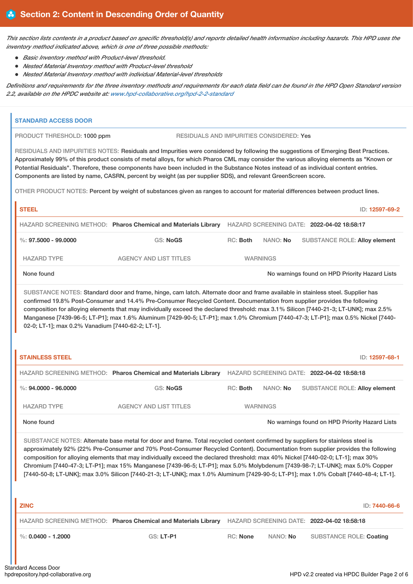This section lists contents in a product based on specific threshold(s) and reports detailed health information including hazards. This HPD uses the *inventory method indicated above, which is one of three possible methods:*

- *Basic Inventory method with Product-level threshold.*
- *Nested Material Inventory method with Product-level threshold*
- *Nested Material Inventory method with individual Material-level thresholds*

Definitions and requirements for the three inventory methods and requirements for each data field can be found in the HPD Open Standard version *2.2, available on the HPDC website at: [www.hpd-collaborative.org/hpd-2-2-standard](https://www.hpd-collaborative.org/hpd-2-2-standard)*

| PRODUCT THRESHOLD: 1000 ppm                       | RESIDUALS AND IMPURITIES CONSIDERED: Yes                                                                                                                                                                                                                                                                                                                                                                                                                                                                                                                                                                                                                                    |                 |                                            |                                                |
|---------------------------------------------------|-----------------------------------------------------------------------------------------------------------------------------------------------------------------------------------------------------------------------------------------------------------------------------------------------------------------------------------------------------------------------------------------------------------------------------------------------------------------------------------------------------------------------------------------------------------------------------------------------------------------------------------------------------------------------------|-----------------|--------------------------------------------|------------------------------------------------|
|                                                   | RESIDUALS AND IMPURITIES NOTES: Residuals and Impurities were considered by following the suggestions of Emerging Best Practices.<br>Approximately 99% of this product consists of metal alloys, for which Pharos CML may consider the various alloying elements as "Known or<br>Potential Residuals". Therefore, these components have been included in the Substance Notes instead of as individual content entries.<br>Components are listed by name, CASRN, percent by weight (as per supplier SDS), and relevant GreenScreen score.<br>OTHER PRODUCT NOTES: Percent by weight of substances given as ranges to account for material differences between product lines. |                 |                                            |                                                |
| <b>STEEL</b>                                      |                                                                                                                                                                                                                                                                                                                                                                                                                                                                                                                                                                                                                                                                             |                 |                                            | ID: 12597-69-2                                 |
|                                                   | HAZARD SCREENING METHOD: Pharos Chemical and Materials Library HAZARD SCREENING DATE: 2022-04-02 18:58:17                                                                                                                                                                                                                                                                                                                                                                                                                                                                                                                                                                   |                 |                                            |                                                |
| $\%$ : 97.5000 - 99.0000                          | <b>GS: NoGS</b>                                                                                                                                                                                                                                                                                                                                                                                                                                                                                                                                                                                                                                                             | RC: Both        | NANO: No                                   | <b>SUBSTANCE ROLE: Alloy element</b>           |
| <b>HAZARD TYPE</b>                                | <b>AGENCY AND LIST TITLES</b>                                                                                                                                                                                                                                                                                                                                                                                                                                                                                                                                                                                                                                               | <b>WARNINGS</b> |                                            |                                                |
| None found                                        |                                                                                                                                                                                                                                                                                                                                                                                                                                                                                                                                                                                                                                                                             |                 |                                            | No warnings found on HPD Priority Hazard Lists |
| 02-0; LT-1]; max 0.2% Vanadium [7440-62-2; LT-1]. |                                                                                                                                                                                                                                                                                                                                                                                                                                                                                                                                                                                                                                                                             |                 |                                            |                                                |
| <b>STAINLESS STEEL</b>                            |                                                                                                                                                                                                                                                                                                                                                                                                                                                                                                                                                                                                                                                                             |                 |                                            | ID: 12597-68-1                                 |
|                                                   | HAZARD SCREENING METHOD: Pharos Chemical and Materials Library                                                                                                                                                                                                                                                                                                                                                                                                                                                                                                                                                                                                              |                 | HAZARD SCREENING DATE: 2022-04-02 18:58:18 |                                                |
| $\%$ : 94.0000 - 96.0000                          | GS: NoGS                                                                                                                                                                                                                                                                                                                                                                                                                                                                                                                                                                                                                                                                    | RC: Both        | NANO: No                                   | <b>SUBSTANCE ROLE: Alloy element</b>           |
| <b>HAZARD TYPE</b>                                | <b>AGENCY AND LIST TITLES</b>                                                                                                                                                                                                                                                                                                                                                                                                                                                                                                                                                                                                                                               | <b>WARNINGS</b> |                                            |                                                |
| None found                                        |                                                                                                                                                                                                                                                                                                                                                                                                                                                                                                                                                                                                                                                                             |                 |                                            | No warnings found on HPD Priority Hazard Lists |
|                                                   | SUBSTANCE NOTES: Alternate base metal for door and frame. Total recycled content confirmed by suppliers for stainless steel is<br>approximately 92% (22% Pre-Consumer and 70% Post-Consumer Recycled Content). Documentation from supplier provides the following<br>composition for alloying elements that may individually exceed the declared threshold: max 40% Nickel [7440-02-0; LT-1]; max 30%<br>Chromium [7440-47-3; LT-P1]; max 15% Manganese [7439-96-5; LT-P1]; max 5.0% Molybdenum [7439-98-7; LT-UNK]; max 5.0% Copper<br>[7440-50-8; LT-UNK]; max 3.0% Silicon [7440-21-3; LT-UNK]; max 1.0% Aluminum [7429-90-5; LT-P1]; max 1.0% Cobalt [7440-48-4; LT-1]. |                 |                                            |                                                |
| <b>ZINC</b>                                       |                                                                                                                                                                                                                                                                                                                                                                                                                                                                                                                                                                                                                                                                             |                 |                                            | ID: 7440-66-6                                  |
|                                                   | HAZARD SCREENING METHOD: Pharos Chemical and Materials Library HAZARD SCREENING DATE: 2022-04-02 18:58:18                                                                                                                                                                                                                                                                                                                                                                                                                                                                                                                                                                   |                 |                                            |                                                |
| %: $0.0400 - 1.2000$                              | GS: LT-P1                                                                                                                                                                                                                                                                                                                                                                                                                                                                                                                                                                                                                                                                   | RC: None        | NANO: No                                   | <b>SUBSTANCE ROLE: Coating</b>                 |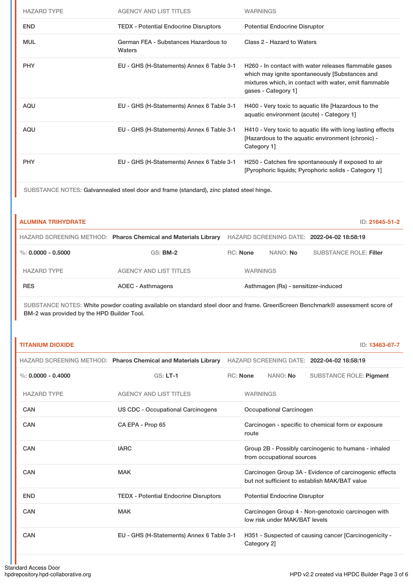| <b>HAZARD TYPE</b> | <b>AGENCY AND LIST TITLES</b>                  | <b>WARNINGS</b>                                                                                                                                                                         |
|--------------------|------------------------------------------------|-----------------------------------------------------------------------------------------------------------------------------------------------------------------------------------------|
| <b>END</b>         | <b>TEDX - Potential Endocrine Disruptors</b>   | <b>Potential Endocrine Disruptor</b>                                                                                                                                                    |
| <b>MUL</b>         | German FEA - Substances Hazardous to<br>Waters | Class 2 - Hazard to Waters                                                                                                                                                              |
| <b>PHY</b>         | EU - GHS (H-Statements) Annex 6 Table 3-1      | H260 - In contact with water releases flammable gases<br>which may ignite spontaneously [Substances and<br>mixtures which, in contact with water, emit flammable<br>gases - Category 1] |
| AQU                | EU - GHS (H-Statements) Annex 6 Table 3-1      | H400 - Very toxic to aquatic life [Hazardous to the<br>aquatic environment (acute) - Category 1]                                                                                        |
| AQU                | EU - GHS (H-Statements) Annex 6 Table 3-1      | H410 - Very toxic to aquatic life with long lasting effects<br>[Hazardous to the aquatic environment (chronic) -<br>Category 1]                                                         |
| <b>PHY</b>         | EU - GHS (H-Statements) Annex 6 Table 3-1      | H250 - Catches fire spontaneously if exposed to air<br>[Pyrophoric liquids; Pyrophoric solids - Category 1]                                                                             |

SUBSTANCE NOTES: Galvannealed steel door and frame (standard), zinc plated steel hinge.

| <b>ALUMINA TRIHYDRATE</b> |                                                                |                 |                                     | ID: 21645-51-2                             |
|---------------------------|----------------------------------------------------------------|-----------------|-------------------------------------|--------------------------------------------|
|                           | HAZARD SCREENING METHOD: Pharos Chemical and Materials Library |                 |                                     | HAZARD SCREENING DATE: 2022-04-02 18:58:19 |
| %: $0.0000 - 0.5000$      | <b>GS: BM-2</b>                                                | <b>RC:</b> None | NANO: <b>No</b>                     | <b>SUBSTANCE ROLE: Filler</b>              |
| <b>HAZARD TYPE</b>        | <b>AGENCY AND LIST TITLES</b>                                  | <b>WARNINGS</b> |                                     |                                            |
| <b>RES</b>                | AOEC - Asthmagens                                              |                 | Asthmagen (Rs) - sensitizer-induced |                                            |

SUBSTANCE NOTES: White powder coating available on standard steel door and frame. GreenScreen Benchmark® assessment score of BM-2 was provided by the HPD Builder Tool.

|  | <b>TITANIUM DIOXIDE</b> |
|--|-------------------------|
|  |                         |
|  |                         |

 $\mathbf{r}$ 

**ID: 13463-67-7** 

|                      | HAZARD SCREENING METHOD: Pharos Chemical and Materials Library |                 |                                      | HAZARD SCREENING DATE: 2022-04-02 18:58:19                                                              |
|----------------------|----------------------------------------------------------------|-----------------|--------------------------------------|---------------------------------------------------------------------------------------------------------|
| %: $0.0000 - 0.4000$ | $GS: LT-1$                                                     | <b>RC: None</b> | NANO: No                             | <b>SUBSTANCE ROLE: Pigment</b>                                                                          |
| <b>HAZARD TYPE</b>   | <b>AGENCY AND LIST TITLES</b>                                  | <b>WARNINGS</b> |                                      |                                                                                                         |
| CAN                  | <b>US CDC - Occupational Carcinogens</b>                       |                 | Occupational Carcinogen              |                                                                                                         |
| <b>CAN</b>           | CA EPA - Prop 65                                               | route           |                                      | Carcinogen - specific to chemical form or exposure                                                      |
| CAN                  | <b>IARC</b>                                                    |                 | from occupational sources            | Group 2B - Possibly carcinogenic to humans - inhaled                                                    |
| CAN                  | <b>MAK</b>                                                     |                 |                                      | Carcinogen Group 3A - Evidence of carcinogenic effects<br>but not sufficient to establish MAK/BAT value |
| <b>END</b>           | <b>TEDX</b> - Potential Endocrine Disruptors                   |                 | <b>Potential Endocrine Disruptor</b> |                                                                                                         |
| <b>CAN</b>           | <b>MAK</b>                                                     |                 | low risk under MAK/BAT levels        | Carcinogen Group 4 - Non-genotoxic carcinogen with                                                      |
| CAN                  | EU - GHS (H-Statements) Annex 6 Table 3-1                      | Category 2]     |                                      | H351 - Suspected of causing cancer [Carcinogenicity -                                                   |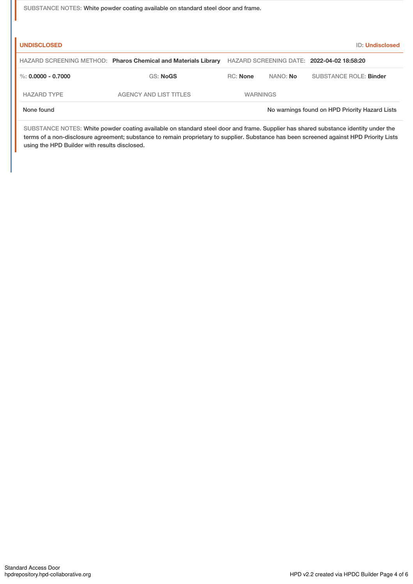SUBSTANCE NOTES: White powder coating available on standard steel door and frame.

| <b>UNDISCLOSED</b>   |                                                                |                 |          | ID: Undisclosed                                |
|----------------------|----------------------------------------------------------------|-----------------|----------|------------------------------------------------|
|                      | HAZARD SCREENING METHOD: Pharos Chemical and Materials Library |                 |          | HAZARD SCREENING DATE: 2022-04-02 18:58:20     |
| %: $0.0000 - 0.7000$ | <b>GS: NoGS</b>                                                | RC: None        | NANO: No | SUBSTANCE ROLE: Binder                         |
| <b>HAZARD TYPE</b>   | AGENCY AND LIST TITLES                                         | <b>WARNINGS</b> |          |                                                |
| None found           |                                                                |                 |          | No warnings found on HPD Priority Hazard Lists |

SUBSTANCE NOTES: White powder coating available on standard steel door and frame. Supplier has shared substance identity under the terms of a non-disclosure agreement; substance to remain proprietary to supplier. Substance has been screened against HPD Priority Lists using the HPD Builder with results disclosed.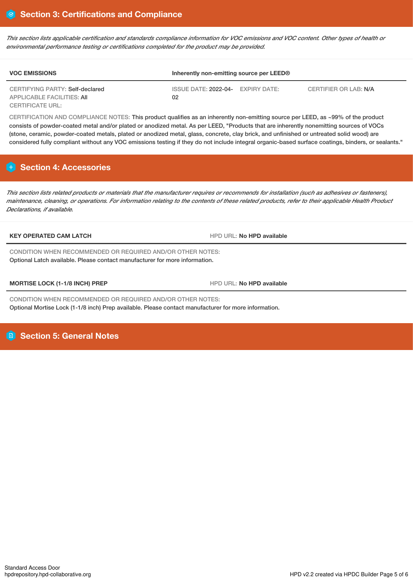This section lists applicable certification and standards compliance information for VOC emissions and VOC content. Other types of health or *environmental performance testing or certifications completed for the product may be provided.*

| <b>VOC EMISSIONS</b>                                          | Inherently non-emitting source per LEED® |  |                       |
|---------------------------------------------------------------|------------------------------------------|--|-----------------------|
| CERTIFYING PARTY: Self-declared<br>APPLICABLE FACILITIES: AII | ISSUE DATE: 2022-04- EXPIRY DATE:<br>02  |  | CERTIFIER OR LAB: N/A |
| <b>CERTIFICATE URL:</b>                                       |                                          |  |                       |

CERTIFICATION AND COMPLIANCE NOTES: This product qualifies as an inherently non-emitting source per LEED, as ~99% of the product consists of powder-coated metal and/or plated or anodized metal. As per LEED, "Products that are inherently nonemitting sources of VOCs (stone, ceramic, powder-coated metals, plated or anodized metal, glass, concrete, clay brick, and unfinished or untreated solid wood) are considered fully compliant without any VOC emissions testing if they do not include integral organic-based surface coatings, binders, or sealants."

# **Section 4: Accessories**

This section lists related products or materials that the manufacturer requires or recommends for installation (such as adhesives or fasteners), maintenance, cleaning, or operations. For information relating to the contents of these related products, refer to their applicable Health Product *Declarations, if available.*

### **KEY OPERATED CAM LATCH** HPD URL: **No HPD available**

CONDITION WHEN RECOMMENDED OR REQUIRED AND/OR OTHER NOTES: Optional Latch available. Please contact manufacturer for more information.

**MORTISE LOCK (1-1/8 INCH) PREP HPD HPD** URL: No HPD available

CONDITION WHEN RECOMMENDED OR REQUIRED AND/OR OTHER NOTES: Optional Mortise Lock (1-1/8 inch) Prep available. Please contact manufacturer for more information.

**Section 5: General Notes**